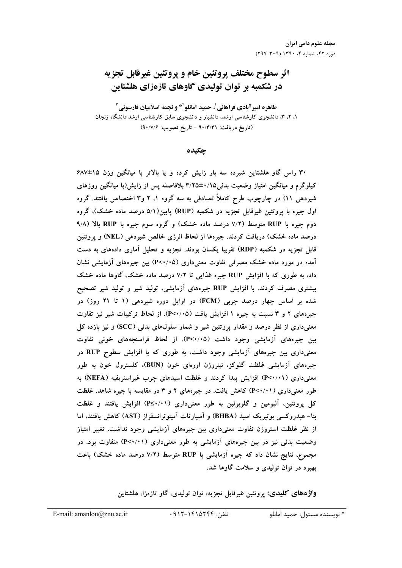# **اثر سطوح مختلف پروتئين خام و پروتئين غيرقابل تجزيه** در شکمبه بر توان تولی*د*ی گاوهای تازهزای هلشتاین

طاهره امیر آبادی فراهانی<sup>'</sup>، حمید امانلو<sup>۲</sup>\* و نجمه اسلامیان فارسونی<sup>۳</sup> **۱، ۴، ۴، دانشجوی کارشناسی ارشد، دانشیار و دانشجوی سابق کارشناسی ارشد دانشگاه زنجان (90/7/6 :() - 90/3/31 :!" )**

**جكىدە** 

**687±15 2 6 4 7 4 5 3 4 2/01 - . 30** کیلوگرم و میانگین امتیاز وضعیت بدنی۱۵/۰±۳/۲۵ بلافاصله پس از زایش(با میانگین روزهای شیردهی ۱۱) در چارچوب طرح کاملا تصادفی به سه گروه ۱، ۲ و۳ اختصاص یافتند. گروه اول جیره با پروتئین غیرقابل تجزیه در شکمبه (RUP) پایین(۵/۱ درصد ماده خشک)، گروه **9/8) 7 RUP 4I : 4- (SG 6 ? 7/2) T/6 RUP 4I :** درصد ماده خشک) دریافت کردند. جیرهها از لحاظ انرژی خالص شیردهی (NEL) و پروتئین قابل تجزیه در شکمبه (RDP) تقریبا یکسان بودند. تجزیه و تحلیل آماری دادههای به دست  **6\ 14I 2 (P<0/05) ;6 ]^ "4)6 SG 6 6 6\** داد، به طوری که با افزایش RUP جیره غذایی تا ۷/۲ درصد ماده خشک، گاوها ماده خشک بیشتری مصرف کردند. با افزایش RUP جیرههای آزمایشی، تولید شیر و تولید شیر تصحیح شده بر اساس چهار درصد چربی (FCM) در اوایل دوره شیردهی (۱ تا ۲۱ روز) در جیرههای ۲ و ۳ نسبت به جیره ۱ افزایش یافت (P<**۰**/۰۵). از لحاظ ترکیبات شیر نیز تفاوت معنیداری از نظر درصد و مقدار پروتئین شیر و شمار سلولهای بدنی (SCC) و نیز بازده کل بین جیرههای آزمایشی وجود داشت (P<**۰**/۰۵). از لحاظ فراسنجههای خونی تفاوت معنیداری بین جیرههای آزمایشی وجود داشت، به طوری که با افزایش سطوح RUP در جیرههای آزمایشی غلظت گلوکز، نیتروژن اورهای خون (BUN)، کلسترول خون به طور معنیداری (P<۰/۰۱) افزایش پیدا کردند و غلظت اسیدهای چرب غیراستریفیه (NEFA) به طور معنیداری (۱۰/۰۲) کاهش یافت. در جیرههای ۲ و ۳ در مقایسه با جیره شاهد، غلظت کل پروتئین، آلبومین و گلوبولین به طور معنیداری (۱۰/۱<u>></u>P) افزایش یافتند و غلظت بتا– هیدروکسی بوتیریک اسید (BHBA) و اسپارتات امینوترانسفراز (AST) کاهش یافتند، اما از نظر غلظت استروژن تفاوت معنیداری بین جیرههای ازمایشی وجود نداشت. تغییر امتیاز وضعیت بدنی نیز در بین جیرههای آزمایشی به طور معنیداری (P<۰/۰۱) متفاوت بود. در مجموع، نتایج نشان داد که جیره آزمایشی با RUP متوسط (۷/۲ درصد ماده خشک) باعث **بهبود در توان تولیدی و سلامت گاوها شد**.

> **واژههای کلیدی:** پروتئین غیرقابل تجزیه، توان تولیدی، گاو تازهزا، هلشتاین  $\overline{\phantom{a}}$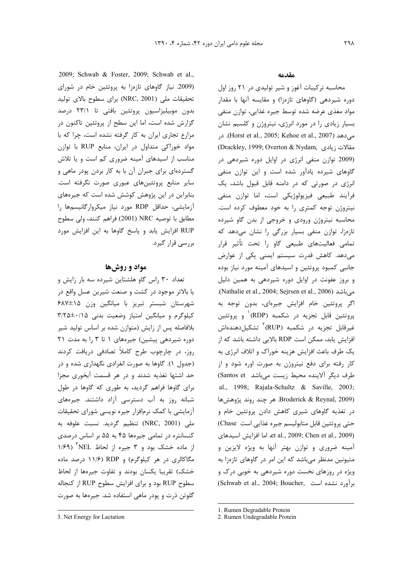2009; Schwab & Foster, 2009; Schwab et al., (2009. نیاز گاوهای تازهزا به پروتئین خام در شورای تحقيقات ملي (NRC, 2001) براي سطوح بالاي توليد بدون موبیلیزاسیون پروتئین بافتی تا ۲۳/۱ درصد گزارش شده است، اما این سطح از پروتئین تاکنون در مزارع تجاری ایران به کار گرفته نشده است، چرا که با مواد خوراکی متداول در ایران، منابع RUP با توازن مناسب از اسیدهای آمینه ضروری کم است و یا تلاش گستردهای برای جبران آن با به کار بردن پودر ماهی و سایر منابع پروتئینهای عبوری صورت نگرفته است. بنابراین در این پژوهش کوشش شده است که جیرههای آزمایشی، حداقل RDP مورد نیاز میکروارگانیسمها را مطابق با توصيه NRC (2001) فراهم كنند، ولي سطوح RUP افزایش یابد و پاسخ گاوها به این افزایش مورد بررسے قرار گیرد.

## مواد و روشها

تعداد ۳۰ راس گاو هلشتاین شیرده سه بار زایش و یا بالاتر موجود در کشت و صنعت شیرین عسل واقع در شهرستان شبستر تبریز با میانگین وزن ۶۸۷±۶۸۷ کیلوگرم و میانگین امتیاز وضعیت بدنی ۳/۲۵±۰/۱۵ بلافاصله پس از زایش (متوازن شده بر اساس تولید شیر دوره شیردهی پیشین) جیرههای ١ تا ٣ را به مدت ٢١ روز، در چارچوب طرح کاملاً تصادفی دریافت کردند (جدول ۱). گاوها به صورت انفرادی نگهداری شده و در حد اشتها تغذیه شدند و در هر قسمت آبخوری مجزا برای گاوها فراهم گردید، به طوری که گاوها در طول شبانه روز به آب دسترسی آزاد داشتند. جیرههای آزمایشی با کمک نرمافزار جیره نویسی شورای تحقیقات ملی (NRC, 2001) تنظیم گردید. نسبت علوفه به کنسانتره در تمامی جیرهها ۴۵ به ۵۵ بر اساس درصدی از ماده خشک بود و ۳ جیره از لحاظ NEL آ مگاکالری در هر کیلوگرم) و RDP (۱۱/۶ درصد ماده خشک) تقریبا یکسان بودند و تفاوت جیرهها از لحاظ سطوح RUP بود و برای افزایش سطوح RUP از کنجاله گلوتن ذرت و پودر ماهی استفاده شد. جیرهها به صورت

#### مقدمه

محاسبه ترکیبات آغوز و شیر تولیدی در ۲۱ روز اول دوره شیردهی (گاوهای تازهزا) و مقایسه آنها با مقدار مواد مغذی عرضه شده توسط جیره غذایی، توازن منفی بسیار زیادی را در مورد انرژی، نیتروژن و کلسیم نشان میدهد (Horst et al., 2005; Kehoe et al., 2007). در (Drackley, 1999; Overton & Nydam, مقالات زيادى (2009 توازن منفی انرژی در اوایل دوره شیردهی در گاوهای شیرده یادآور شده است و این توازن منفی انرژی در صورتی که در دامنه قابل قبول باشد، یک فرآیند طبیعی فیزیولوژیکی است، اما توازن منفی نیتروژن توجه کمتری را به خود معطوف کرده است. محاسبه نیتروژن ورودی و خروجی از بدن گاو شیرده تازهزا، توازن منفی بسیار بزرگی را نشان میدهد که تمامی فعالیتهای طبیعی گاو را تحت تأثیر قرار مے،دھد. کاھش قدرت سیستم ایمنی یکی از عوارض جانبی کمبود پروتئین و اسیدهای آمینه مورد نیاز بوده و بروز عفونت در اوایل دوره شیردهی به همین دلیل می باشد (Nathalie et al., 2004; Sejrsen et al., 2006). اگر پروتئین خام افزایش جیرهای، بدون توجه به پروتئین قابل تجزیه در شکمبه (RDP)<sup>۱</sup> و پروتئین غیرقابل تجزیه در شکمبه (RUP)<sup>۲</sup> تشکیلدهندهاش افزایش یابد، ممکن است RDP بالایی داشته باشد که از يک طرف باعث افزايش هزينه خوراک و اتلاف انرژي به کار رفته برای دفع نیتروژن به صورت اوره شود و از طرف دیگر آلاینده محیط زیست میباشد Santos et) al., 1998; Rajala-Schultz & Saville, 2003; Broderick & Reynal, 2009). هر چند روند پژوهشها در تغذیه گاوهای شیری کاهش دادن پروتئین خام و حتی پروتئین قابل متابولیسم جیره غذایی است Chase) et al., 2009; Chen et al., 2009). لما افزايش اسيدهاى آمینه ضروری و توازن بهتر آنها به ویژه لایزین و متیونین مدنظر می باشد که این امر در گاوهای تازهزا به ویژه در روزهای نخست دوره شیردهی به خوبی درک و (Schwab et al., 2004; Boucher, برآورد نشده است

<sup>3.</sup> Net Energy for Lactation

<sup>1.</sup> Rumen Degradable Protein

<sup>2.</sup> Rumen Undegradable Protein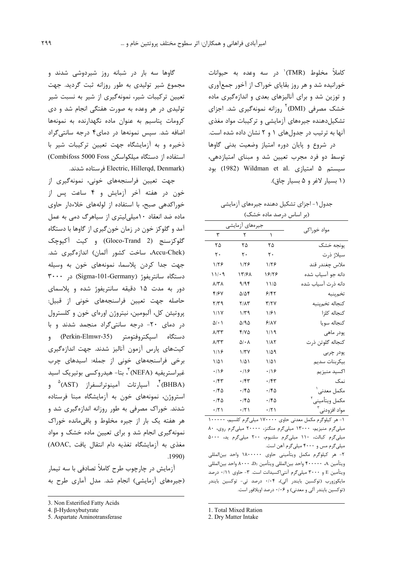كاملاً مخلوط (TMR)<sup>'</sup> در سه وعده به حیوانات خورانیده شد و هر روز بقایای خوراک از آخور جمعآوری و توزین شد و برای آنالیزهای بعدی و اندازهگیری ماده خشک مصرفی (DMI)<sup>۲</sup> روزانه نمونهگیری شد. اجزای تشکیلدهنده جیرههای آزمایشی و ترکیبات مواد مغذی آنها به ترتیب در جدول های ۱ و ۲ نشان داده شده است. در شروع و پایان دوره امتیاز وضعیت بدنی گاوها

توسط دو فرد مجرب تعیین شد و مبنای امتیازدهی، سیستم ۵ امتیازی .Wildman et al (1982) بود (١ بسيار لاغر و ۵ بسيار چاق).

جدول ۱ – اجزای تشکیل دهنده جیرههای آزمایشی (بر اساس درصد ماده خشک)

| جیرەهای آزمایشی        |                          |             |                            |
|------------------------|--------------------------|-------------|----------------------------|
| ٣                      | ٢                        | ١           | مواد خوراکی                |
| ۲۵                     | ۲۵                       | ۲۵          | يونجه خشک                  |
| ٢٠                     | ٢٠                       | ٢٠          | سيلاژ ذرت                  |
| ۱۱۲۶                   | ۱۱۲۶                     | ۱۱۲۶        | ملاس چغندر قند             |
| ۱۱/۰۹                  | ۱۳/۶۸                    | 18128       | دانه جو آسیاب شده          |
| $\lambda$ /٣ $\lambda$ | 9/9۴                     | 11/2        | دانه ذرت آسیاب شده         |
| 4167                   | $\Delta/\Delta f$        | ۶۱۴۲        | تخمپنبه                    |
| ۳/۳۹                   | <b>Y/15</b>              | ۳/۲۷        | كنجاله تخمپنبه             |
| 1/1Y                   | ۱/۳۹                     | ۱۱۶۱        | كنجاله كلزا                |
| $\Delta$ / $\cdot$ )   | $\Delta$ /9 $\Delta$     | ۶۱۸۷        | كنجاله سويا                |
| ۸/۳۳                   | ۴۱۷۵                     | ۱۱۹         | پودر ماهي                  |
| $\Lambda$ /٣٣          | $\Delta/\cdot$ $\Lambda$ | ۱/۸۲        | كنجاله گلوتن ذرت           |
| 119                    | 1/TV                     | ۱/۵۹        | پودر چربی                  |
| $1/\Delta$             | $1/\Delta$               | $1/\Delta$  | بيكربنات سديم              |
| $\cdot$ /۱۶            | $\cdot$ /۱۶              | .19         | اكسيد منيزيم               |
| ۰/۴۳                   | ۰/۴۳                     | ۰/۴۳        | نمک                        |
| ۱۴۵                    | ۱۴۵                      | ۱۴۵         | مكمل معدني'                |
| .76                    | ۱۴۵                      | .180        | مكمل ويتأميني <sup>٢</sup> |
| $\cdot$ /٢١            | $\cdot$ /٢١              | $\cdot$ /٢١ | مواد افزودنى <sup>۳</sup>  |

۱- هر کیلوگرم مکمل معدنی حاوی ۱۷۰۰۰۰ میلیگرم کلسیم، ۱۰۰۰۰۰ میلیگرم منیزیم، ۱۳۰۰۰ میلیگرم منگنز، ۲۰۰۰۰ میلیگرم روی، ۸۰ میلیگرم کبالت، ١١٠ میلیگرم سلنیوم، ٢٠٠ میلیگرم ید، ۵٠٠٠ میلی گرم مس و ۴۰۰۰ میلی گرم آهن است.

۲- هر کیلوگرم مکمل ویتأمینی حاوی ۱۸۰۰۰۰۰ واحد بینالمللی ويتأمين A · · · · · · واحد بينالمللي ويتأمين D3، ٨٠٠٠ واحد بينالمللي ویتأمین E و ۳۰۰۰ میلیگرم آنتی|کسیدانت است. ۳- حاوی ۰/۱۱ درصد مایکوزورب (توکسین بایندر آلی)، ۰/۰۴ درصد تی- توکسین بایندر (توکسین بایندر آلی و معدنی) و ۰/۰۶ درصد اویلافور است.

1. Total Mixed Ration

2. Dry Matter Intake

گاوها سه بار در شبانه روز شیردوشی شدند و مجموع شير توليدي به طور روزانه ثبت گرديد. جهت تعیین ترکیبات شیر، نمونهگیری از شیر به نسبت شیر تولیدی در هر وعده به صورت هفتگی انجام شد و دی کرومات پتاسیم به عنوان ماده نگهدارنده به نمونهها اضافه شد. سیس نمونهها در دمای۴ درجه سانتی گراد ذخیره و به آزمایشگاه جهت تعیین ترکیبات شیر با استفاده از دستگاه میلکواسکن Combifoss 5000 Foss) (Electric, Hillerqd, Denmark فرستاده شدند.

جهت تعیین فراسنجههای خونی، نمونهگیری از خون در هفته آخر آزمایش و ۴ ساعت پس از خوراکدهی صبح، با استفاده از لولههای خلاءدار حاوی ماده ضد انعقاد ۱۰میلی لیتری از سیاهرگ دمی به عمل آمد و گلوکز خون در زمان خون گیری از گاوها با دستگاه گلوکزسنج (Gloco-Trand 2) و کیت آکیوچک (Accu-Chek، ساخت کشور آلمان) اندازهگیری شد. جهت جدا کردن پلاسما، نمونههای خون به وسیله  $\mathbf{r} \cdots$  دستگاه سانتریفوژ (Sigma-101-Germany) در دور به مدت ۱۵ دقیقه سانتریفوژ شده و پلاسمای حاصله جهت تعیین فراسنجههای خونی از قبیل: پروتیئن کل، آلبومین، نیتروژن اورهای خون و کلسترول در دمای ۲۰- درجه سانتی گراد منجمد شدند و با دستگاه اسپکتروفتومتر (Perkin-Elmwr-35) و کیتهای پارس آزمون آنالیز شدند. جهت اندازهگیری برخی فراسنجههای خونی از جمله: اسیدهای چرب غیراستریفیه (NEFA) ، بتا- هیدروکسی بوتیریک اسید (BHBA) به آسپارتات آمینوترانسفراز (AST) و استروژن، نمونههای خون به آزمایشگاه مبنا فرستاده شدند. خوراک مصرفی به طور روزانه اندازهگیری شد و هر هفته یک بار از جیره مخلوط و باقیمانده خوراک نمونه گیری انجام شد و برای تعیین ماده خشک و مواد مغذی به آزمایشگاه تغذیه دام انتقال یافت ,AOAC)  $.1990$ 

آزمایش در چارچوب طرح کاملاً تصادفی با سه تیمار (جیرههای آزمایشی) انجام شد. مدل آماری طرح به

<sup>3.</sup> Non Esterified Fatty Acids

<sup>4.</sup> β-Hydoxybutyrate

<sup>5.</sup> Aspartate Aminotransferase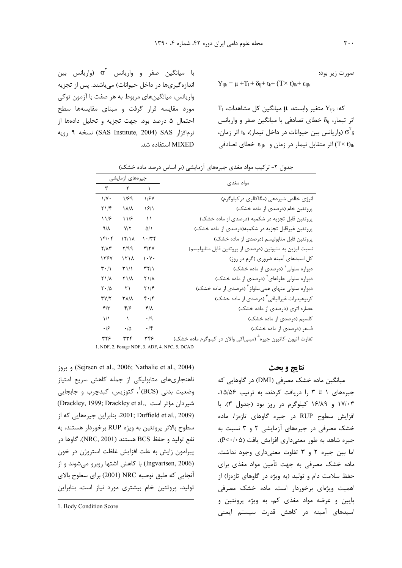صورت زیر بود:

$$
Y_{ijk} = \mu + T_i + \delta_{ij} + t_k + (T \times t)_{ik} + \epsilon_{ijl}
$$

 $T_i$  حنغیر وابسته،  $\mu$  میانگین کل مشاهدات،  $Y_{ijk}$ اثر تیمار، S<sub>ij</sub> خطای تصادفی با میانگین صفر و واریانس (واریانس بین حیوانات در داخل تیمار)،  $t_{\rm k}$  اثر زمان)  $\sigma ^{\rm v}{}_{\rm \delta}$ اثر متقابل تیمار در زمان و  $\varepsilon_{\rm{iik}}$  خطای تصادفی (T $\times$ t)

با میانگین صفر و واریانس  $\sigma^{\rm Y}$  (واریانس بین اندازهگیریها در داخل حیوانات) میباشند. پس از تجزیه واریانس، میانگینهای مربوط به هر صفت با آزمون توکی مورد مقایسه قرار گرفت و مبنای مقایسهها سطح احتمال ۵ درصد بود. جهت تجزیه و تحلیل دادهها از نرمافزار SAS Institute, 2004) SAS أن مافزار SAS Institute, 2004) MIXED استفاده شد.

| جيرەهاي آزمايشى                       |                   |                   |                                                                          |
|---------------------------------------|-------------------|-------------------|--------------------------------------------------------------------------|
| ٣                                     | ٢                 | ١                 | مواد مغذى                                                                |
| $1/\gamma$ .                          | ۱۱۶۹              | 1/۶۷              | انرژی خالص شیردهی (مگاکالری در کیلوگرم)                                  |
| Y1/F                                  | $\lambda/\lambda$ | 1811              | پروتئین خام (درصدی از ماده خشک)                                          |
| 119                                   | 118               | ۱۱                | پروتئین قابل تجزیه در شکمبه (درصدی از ماده خشک)                          |
| 9/1                                   | Y/Y               | $\Delta/\Lambda$  | پروتئین غیرقابل تجزیه در شکمبه(درصدی از ماده خشک)                        |
| 15.5                                  | 15/1A             | 1.77              | پروتئین قابل متابولیسم (درصدی از ماده خشک)                               |
| $Y/\Lambda Y$                         | ۳/۹۹              | <b>٣/٢٧</b>       | نسبت لیزین به متیونین (درصدی از پروتئین قابل متابولیسم)                  |
| ۱۳۶۷                                  | 151 <sub>A</sub>  | $\cdot$ Y $\cdot$ | کل اسیدهای آمینه ضروری (گرم در روز)                                      |
| $\mathbf{r} \cdot / \mathbf{v}$       | T11               | ۳۲/۱              | دیواره سلولی ( درصدی از ماده خشک)                                        |
| $Y$ $/\lambda$                        | <b>٢١/٨</b>       | $Y$ $\Lambda$     | دیواره سلولی علوفهای <sup>۲</sup> (درصدی از ماده خشک)                    |
| $\mathbf{Y}\boldsymbol{\cdot}/\Delta$ | ٢١                | ۲۱/۴              | دیواره سلولی منهای همیسلولز <sup>۳</sup> (درصدی از ماده خشک)             |
| $\mathbf{y}(\mathbf{y})$              | ۳۸/۸              | 4.14              | کربوهیدرات غیرالیافی ٔ (درصدی از ماده خشک)                               |
| $f/\tau$                              | ۴۱۶               | $f/\lambda$       | عصاره اتری (درصدی از ماده خشک)                                           |
| $\frac{1}{2}$                         | ١                 | $\cdot$ /9        | کلسیم (درصدی از ماده خشک)                                                |
| $\cdot$ /۶                            | $\cdot/\Delta$    | $\cdot$ /۴        | فسفر (درصدی از ماده خشک)                                                 |
| ۳۲۶                                   | ۳۳۴               | ۳۴۶               | تفاوت آنیون-کاتیون جیره <sup>۵</sup> (میلیاکی والان در کیلوگرم ماده خشک) |

جدول ۲- ترکیب مواد مغذی جیرههای آزمایشی (بر اساس درصد ماده خشک)

1. NDF, 2. Forage NDF, 3. ADF, 4. NFC, 5. DCAD

(Sejrsen et al., 2006; Nathalie et al., 2004) و بروز ناهنجاریهای متابولیکی از جمله کاهش سریع امتیاز وضعیت بدنی (BCS) ٰ، کتوزیس، کبدچرب و جابجایی (Drackley, 1999; Drackley et al., شيردان مؤثر است (2009 ,Duffield et al., 2009 بنابراين جير مهايي كه از سطوح بالاتر پروتئین به ویژه RUP برخوردار هستند، به نفع توليد و حفظ BCS هستند (NRC, 2001). گاوها در پیرامون زایش به علت افزایش غلظت استروژن در خون (Ingvartsen, 2006) با كاهش اشتها روبرو مى شوند و از آنجایی که طبق توصیه NRC (2001) برای سطوح بالای تولید، پروتئین خام بیشتری مورد نیاز است، بنابراین

### نتايج و بحث

میانگین ماده خشک مصرفی (DMI) در گاوهایی که جیرههای ١ تا ٣ را دریافت کردند، به ترتیب ١۵/۵۶، ۱۷/۰۳ و ۱۶/۸۹ کیلوگرم در روز بود (جدول ۳). با افزایش سطوح RUP در جیره گاوهای تازهزا، ماده خشک مصرفی در جیرههای آزمایشی ۲ و ۳ نسبت به جیره شاهد به طور معنی داری افزایش یافت (P<۰/۰۵). اما بين جيره ٢ و ٣ تفاوت معنى دارى وجود نداشت. ماده خشک مصرفی به جهت تأمین مواد مغذی برای حفظ سلامت دام و تولید (به ویژه در گاوهای تازهزا) از اهمیت ویژهای برخوردار است. ماده خشک مصرفی پايين و عرضه مواد مغذي كم، به ويژه پروتئين و اسیدهای آمینه در کاهش قدرت سیستم ایمنی

<sup>1.</sup> Body Condition Score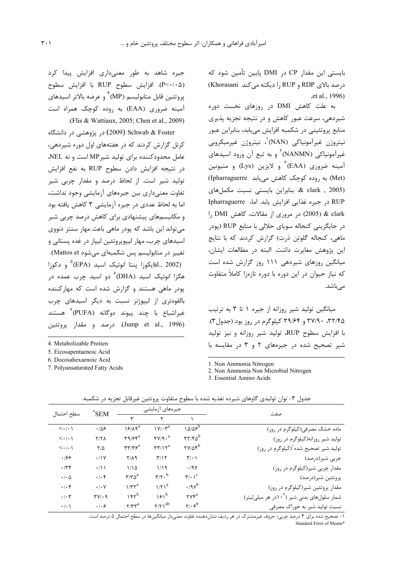بایستی این مقدار CP در DMI پایین تأمین شود که درصد بالای RDP و RUP را دیکته می کند Khorasani) .et al., 1996)

به علت کاهش DMI در روزهای نخست دوره شیردهی، سرعت عبور کاهش و در نتیجه تجزیه پذیری منابع پروتئینی در شکمبه افزایش می یابد، بنابراین عبور نيتروژن غيرآمونياكي (NAN)'، نيتروژن غيرميكروبي غیرآمونیاکی (NANMN)<sup>۲</sup> و به تبع آن ورود اسیدهای آمینه ضروری (EAA) ؓ و لایزین (Lys) و متیونین (Met) به روده کوچک کاهش می یابد (Ipharraguerre) & clark, 2005). بنابراین بایستی نسبت مکملهای RUP در جیره غذایی افزایش یابد. اما، Ipharraguerre l, DMI هر مروری از مقالات، کاهش J, DMI در جایگزینی کنجاله سویای حلالی با منابع RUP (یودر ماهی، کنجاله گلوتن ذرت) گزارش کردند که با نتایج اين پژوهش مغايرت داشت. البته در مطالعات ايشان، میانگین روزهای شیردهی ۱۱۱ روز گزارش شده است که نیاز حیوان در این دوره با دوره تازهزا کاملاً متفاوت مے باشد.

میانگین تولید شیر روزانه از جیره ۱ تا ۳ به ترتیب ،۳۲/۴۵ ۳۷/۹۰ و ۳۹/۶۴ کیلوگرم در روز بود (جدول۳). با افزایش سطوح RUP، تولید شیر روزانه و نیز تولید شیر تصحیح شده در جیرههای ۲ و ۳ در مقایسه با

1 Non Ammonia Nitrogen

2. Non Ammonia Non Microbial Nitrogen

3. Essential Amino Acids

| جیره شاهد به طور معنیداری افزایش پیدا کرد                      |
|----------------------------------------------------------------|
| (P<٠/٠۵). افزایش سطوح RUP با افزایش سطوح                       |
| پروتئين قابل متابوليسم (MP) <sup>۴</sup> و عرضه بالاتر اسيدهاي |
| آمینه ضروری (EAA) به روده کوچک همراه است                       |
| (Flis & Wattiaux, 2005; Chen et al., 2009).                    |

Schwab & Foster (2009) در پژوهشی در دانشگاه کرنل گزارش کردند که در هفتههای اول دوره شیردهی، عامل محدودکننده برای تولید شیر MP است و نه NEL، در نتيجه افزايش دادن سطوح RUP به نفع افزايش تولید شیر است. از لحاظ درصد و مقدار چربی شیر تفاوت معنی داری بین جیرههای آزمایشی وجود نداشت، اما به لحاظ عددی در جیره آزمایشی ۳ کاهش یافته بود و مکانیسمهای پیشنهادی برای کاهش درصد چربی شیر می تواند این باشد که یودر ماهی باعث مهار سنتز دنووی اسیدهای چرب، مهار لیپویروتئین لیپاز در غده پستانی و تغییر در متابولیسم پس شکمبهای میشود Mattos et). lal., 2002) يكوزا ينتا انوئيک اسيد (EPA) و دكوزا) هگزا انوئیک اسید (DHA) <sup>۶</sup> دو اسید چرب عمده د<sub>ر</sub> پودر ماهی هستند و گزارش شده است که مهارکننده بالقوهتری از لیپوژنز نسبت به دیگر اسیدهای چرب غيراشباع با چند پيوند دوگانه (PUFA)<sup>۷</sup> هستند (Jump et al., 1996). درصد و مقدار پروتئین

4. Metabolizable Protien

5. Eicosapentaenoic Acid

6. Docosahexaenoic Acid

7. Polyunsaturated Fatty Acids

| سطح احتمال                      | *SEM                     | جیرەهای ازمایشی                                          |                                                     |                                                              | صفت                                                     |
|---------------------------------|--------------------------|----------------------------------------------------------|-----------------------------------------------------|--------------------------------------------------------------|---------------------------------------------------------|
|                                 |                          |                                                          |                                                     |                                                              |                                                         |
| $\langle \cdot   \cdot \rangle$ | .109                     | $19/19^a$                                                | $\mathcal{W}/\cdot \mathcal{Y}^a$                   | $10/85^b$                                                    | ماده خشک مصرفی(کیلوگرم در روز)                          |
| $\langle \cdot   \cdot \rangle$ | Y/Y                      | $\mathbf{r}$ 9/ $\mathbf{r}$                             | $\mathbf{r} \mathbf{v}/\mathbf{q} \cdot \mathbf{a}$ | $rr$ / $r_0$ <sup>b</sup>                                    | تولید شیر روزانه(کیلوگرم در روز)                        |
| $\langle \cdot   \cdot \rangle$ | $7/\Delta$               | $\mathbf{r}\mathbf{r}/\mathbf{r}\mathbf{s}^{\mathrm{a}}$ | $\mathsf{r}\mathsf{r}/\mathsf{r}^{\mathrm{a}}$      | $\mathsf{Y} \mathsf{Y} / \mathsf{Q} \mathsf{f}^{\mathsf{b}}$ | تولید شیر تصحیح شده <sup>(</sup> (کیلوگرم در روز)       |
| .199                            | .11V                     | $Y/\lambda$ 9                                            | T/Y                                                 | $\mathbf{r}$                                                 | چربی شیر(درصد)                                          |
| .779                            | $\cdot/1$                | 1/10                                                     | 1/19                                                | .19V                                                         | مقدار چربی شیر(کیلوگرم در روز)                          |
| $\cdot$ / $\cdot$ $\Delta$      | $.  . \rangle$           | $\mathbf{r}/\mathbf{r}\mathbf{a}^{\mathrm{a}}$           | $\mathbf{r}$ / $\mathbf{r}$ . <sup>b</sup>          | $\mathbf{r}/\cdot \mathbf{v}^{\mathrm{c}}$                   | پروتئين شير(درصد)                                       |
| .1.9                            | $\cdot$ / $\cdot$ $\vee$ | $1/\tau \tau^a$                                          | $1/\Upsilon$ <sup>a</sup>                           | $.9v^b$                                                      | مقدار پروتئین شیر(کیلوگرم در روز)                       |
| .1.7                            | $TV$ . 9                 | $155^b$                                                  | $151^b$                                             | $\mathsf{r}\mathsf{v}\mathsf{r}^{\mathsf{a}}$                | شمار سلولهای بدنی شیر (۱۰ <sup>۲</sup> در هر میلی لیتر) |
| $\cdot$ / $\cdot$ \             | .   . 9                  | $\mathsf{r}/\mathsf{r}\mathsf{r}^{\mathrm{a}}$           | $\gamma/\gamma$ ab                                  | $\mathsf{y}_1$ . $\mathsf{z}_0$                              | نسبت تولید شیر به خوراک مصرفی                           |
|                                 |                          |                                                          |                                                     |                                                              |                                                         |

جدول ۳- توان تولیدی گاوهای شیرده تغذیه شده با سطوح متفاوت پروتئین غیرقابل تجزیه در شکمبه.

۱- تصحیح شده برای ۴ درصد چربی؛ حروف غیرمشترک در هر ردیف نشاندهنده تفاوت معنیدار میانگینها در سطح احتمال ۵ درصد است. Standard Frror of Means\*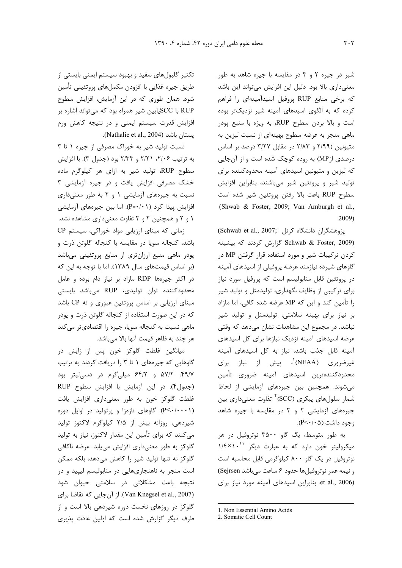شیر در جیره ۲ و ۳ در مقایسه با جیره شاهد به طور معنیداری بالا بود. دلیل این افزایش میتواند این باشد که برخی منابع RUP پروفیل اسیدآمینهای را فراهم کرده که به الگوی اسیدهای آمینه شیر نزدیکتر بوده است و بالا بردن سطوح RUP، به ویژه با منبع پودر ماهی منجر به عرضه سطوح بهینهای از نسبت لیزین به متیونین (٢/٩٩ و ٢/٨٣ در مقابل ٣/٢٧ درصد بر اساس درصدی از MP) به روده کوچک شده است و از آنجایی که لیزین و متیونین اسیدهای آمینه محدودکننده برای تولید شیر و پروتئین شیر میباشند، بنابراین افزایش سطوح RUP باعث بالا رفتن پروتئين شير شده است (Shwab & Foster, 2009; Van Amburgh et al.,  $.2009)$ 

پژوهشگران دانشگاه كرنل ;(Schwab et al., 2007 Schwab & Foster, 2009) گزارش کردند که بیشینه کردن ترکیبات شیر و مورد استفاده قرار گرفتن MP در گاوهای شیرده نیازمند عرضه پروفیلی از اسیدهای آمینه در پروتئین قابل متابولیسم است که پروفیل مورد نیاز برای ترکیبی از وظایف نگهداری، تولیدمثل و تولید شیر را تأمین کند و این که MP عرضه شده کافی، اما مازاد بر نیاز برای بهینه سلامتی، تولیدمثل و تولید شیر نباشد. در مجموع این مشاهدات نشان میدهد که وقتی عرضه اسیدهای آمینه نزدیک نیازها برای کل اسیدهای آمینه قابل جذب باشد، نیاز به کل اسیدهای آمینه غیرضروری (NEAA)<sup>٬</sup>، پیش از نیاز برای محدودكنندهترين اسيدهاى آمينه ضرورى تأمين می شوند. همچنین بین جیرههای آزمایشی از لحاظ شمار سلولهای پیکری (SCC)<sup>۲</sup> تفاوت معنیداری بین جیرههای آزمایشی ۲ و ۳ در مقایسه با جیره شاهد وجود داشت (β<۰/۰۵).

به طور متوسط، یگ گاو ۳۵۰۰ نوتروفیل در هر میکرولیتر خون دارد که به عبارت دیگر ۱/۴×۱/۴ نوتروفیل در یک گاو ۸۰۰ کیلوگرمی قابل محاسبه است و نيمه عمر نوتروفيل ها حدود ۶ ساعت مي باشد Sejrsen) et al., 2006). بنابراین اسیدهای آمینه مورد نیاز برای

تکثیر گلبولهای سفید و بهبود سیستم ایمنی بایستی از طريق جيره غذايي با افزودن مكملهاي پروتئيني تأمين شود. همان طوری که در این آزمایش، افزایش سطوح RUP با SCCپایین شیر همراه بود که میتواند اشاره بر افزایش قدرت سیستم ایمنی و در نتیجه کاهش ورم يستان باشد (Nathalie et al., 2004).

نسبت تولید شیر به خوراک مصرفی از جیره ١ تا ٣ به ترتیب ۲/۲۶، ۲/۲۱ و ۲/۳۳ بود (جدول ۳). با افزایش سطوح RUP، تولید شیر به ازای هر کیلوگرم ماده خشک مصرفی افزایش یافت و در جیره آزمایشی ۳ نسبت به جیرههای آزمایشی ۱ و ۲ به طور معنیداری افزایش پیدا کرد (P=٠/٠١). اما بین جیرههای آزمایشی ۱ و ۲ و همچنین ۲ و ۳ تفاوت معنیداری مشاهده نشد.

زمانی که مبنای ارزیابی مواد خوراکی، سیستم CP باشد، کنجاله سویا در مقایسه با کنجاله گلوتن ذرت و پودر ماهی منبع ارزانتری از منابع پروتئینی میباشد (بر اساس قیمتهای سال ١٣٨٩). اما با توجه به این که در اکثر جیرهها RDP مازاد بر نیاز دام بوده و عامل محدودكننده توان توليدي، RUP مىباشد بايستى مبنای ارزیابی بر اساس پروتئین عبوری و نه CP باشد که در این صورت استفاده از کنجاله گلوتن ذرت و یودر ماهی نسبت به کنجاله سویا، جیره را اقتصادیتر میکند هر چند به ظاهر قیمت آنها بالا می باشد.

میانگین غلظت گلوکز خون پس از زایش در گاوهایی که جیرههای ۱ تا ۳ را دریافت کردند به ترتیب ۴۹/۷، ۵۷/۲ و ۶۴/۲ میلیگرم در دسی لیتر بود (جدول۴). در این آزمایش با افزایش سطوح RUP غلظت گلوکز خون به طور معنیداری افزایش یافت (P<٠/٠٠١). گاوهای تازهزا و پرتولید در اوایل دوره شیردهی، روزانه بیش از ۲/۵ کیلوگرم لاکتوز تولید می کنند که برای تأمین این مقدار لاکتوز، نیاز به تولید گلوکز به طور معنیداری افزایش می یابد. عرضه ناکافی گلوکز نه تنها تولید شیر را کاهش میدهد، بلکه ممکن است منجر به ناهنجاریهایی در متابولیسم لیپید و در نتیجه باعث مشکلاتی در سلامتی حیوان شود (Van Knegsel et al., 2007). از آن جایی که تقاضا برای گلوکز در روزهای نخست دوره شیردهی بالا است و از طرف دیگر گزارش شده است که اولین عادت پذیری

<sup>1.</sup> Non Essential Amino Acids

<sup>2.</sup> Somatic Cell Count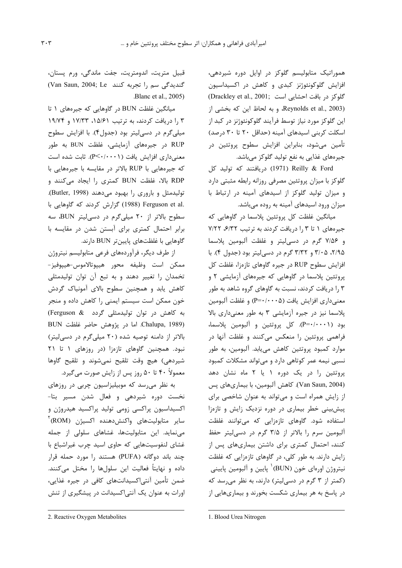هموراتیک متابولیسم گلوکز در اوایل دوره شیردهی، افزایش گلوکونئوژنز کبدی و کاهش در اکسیداسیون (Drackley et al., 2001; كلوكز در بافت احشايي است) Reynolds et al., 2003)، وبه لحاظ این که بخشی از این گلوکز مورد نیاز توسط فرآیند گلوکونئوژنز در کبد از اسکلت کربنی اسیدهای آمینه (حداقل ٢٠ تا ٣٠ درصد) تأمین میشود، بنابراین افزایش سطوح پروتئین در جیرەهای غذایی به نفع تولید گلوکز میباشد.

Reilly & Ford (1971) دريافتند كه توليد كل گلوکز با میزان پروتئین مصرفی روزانه رابطه مثبتی دارد و میزان تولید گلوکز از اسیدهای آمینه در ارتباط با میزان ورود اسیدهای آمینه به روده میباشد.

میانگین غلظت کل پروتئین پلاسما در گاوهایی که جیرههای ١ تا ١,٣ دریافت کردند به ترتیب ٧/٢٢، ٧/٢٢ و ۷/۵۶ گرم در دسیلیتر و غلظت آلبومین پلاسما ۲/۹۵، ۳/۳۵ و ۳/۳۲ گرم در دسهالیتر بود (جدول ۴). با افزایش سطوح RUP در جیره گاوهای تازهزا، غلظت کل پروتئین پلاسما در گاوهایی که جیرههای آزمایشی ۲ و ۳ را دریافت کردند، نسبت به گاوهای گروه شاهد به طور معنیداری افزایش یافت (P=٠/٠٠٠۵) و غلظت آلبومین پلاسما نیز در جیره آزمایشی ۳ به طور معنیداری بالا بود (P=٠/٠٠١). كل پروتئين و آلبومين پلاسما، فراهمی پروتئین را منعکس میکنند و غلظت آنها در موارد کمبود پروتئین کاهش مییابد. آلبومین، به طور نسبی نیمه عمر کوتاهی دارد و میتواند مشکلات کمبود یروتئین را در یک دوره ۱ یا ۲ ماه نشان دهد (Van Saun, 2004). كاهش آلبومين، با بيماري هاي پس از زایش همراه است و می تواند به عنوان شاخصی برای پیشبینی خطر بیماری در دوره نزدیک زایش و تازهزا استفاده شود. گاوهای تازهزایی که میتوانند غلظت آلبومین سرم ,ا بالاتر از ۳/۵ گرم در دسی لیتر حفظ کنند، احتمال کمتری برای داشتن بیماریهای پس از زایش دارند. به طور کلی، در گاوهای تازهزایی که غلظت نیتروژن اورەای خون (BUN)<sup>۱</sup> پایین و آلبومین پایینی (کمتر از ۳ گرم در دسی لیتر) دارند، به نظر می رسد که در پاسخ به هر بیماری شکست بخورند و بیماریهایی از

قبيل متريت، اندومتريت، جفت ماندگي، ورم پستان، CVan Saun, 2004; Le تجربه كنند Van Saun, 2004; Le .Blanc et al., 2005)

میانگین غلظت BUN در گاوهایی که جیرههای ۱ تا ۳ را دریافت کردند، به ترتیب ۱۵/۶۱، ۱۷/۳۳ و ۱۹/۷۴ میلی گرم در دسی لیتر بود (جدول۴). با افزایش سطوح RUP در جیرههای آزمایشی، غلظت BUN به طور معنیداری افزایش یافت (P<۰/۰۰۰۱). ثابت شده است که جیرههایی با RUP بالاتر در مقایسه با جیرههایی با RDP بالا، غلظت BUN كمترى را ايجاد مى كنند و تولیدمثل و باروری را بهبود میدهند (Butler, 1998). .Ferguson et al (1988) گزارش کردند که گاوهایی با سطوح بالاتر از ٢٠ ميلي گرم در دسي ليتر BUN، سه برابر احتمال کمتری برای آبستن شدن در مقایسه با گاوهایی با غلظتهای پایینتر BUN دارند.

از طرف دیگر، فرآوردههای فرعی متابولیسم نیتروژن ممكن است وظيفه محور هيبوتالاموس-هييوفيز-تخمدان را تغییر دهند و به تبع آن توان تولیدمثلی کاهش یابد و همچنین سطوح بالای آمونیاک گردش خون ممکن است سیستم ایمنی را کاهش داده و منجر به کاهش در توان تولیدمثلی گردد Ferguson & BUN اما در پژوهش حاضر غلظت. BUN بالاتر از دامنه توصیه شده (۲۰ میلیگرم در دسیلیتر) نبود. همچنین گاوهای تازهزا (در روزهای ١ تا ٢١ شیردهی) هیچ وقت تلقیح نمیشوند و تلقیح گاوها معمولاً ۴۰ تا ۵۰ روز پس از زایش صورت میگیرد.

به نظر می رسد که موبیلیزاسیون چربی در روزهای نخست دوره شیردهی و فعال شدن مسیر بتا-اکسیداسیون پراکسی زومی تولید پراکسید هیدروژن و سایر متابولیتهای واکنشدهنده اکسیژن (ROM) مے نماید. این متابولیتها، غشاهای سلولی از جمله غشای لنفوسیتهایی که حاوی اسید چرب غیراشباع با چند باند دوگانه (PUFA) هستند را مورد حمله قرار داده و نهایتاً فعالیت این سلولها را مختل میکنند. ضمن تأمین آنتیاکسیدانتهای کافی در جیره غذایی، اورات به عنوان یک آنتی|کسیدانت در پیشگیری از تنش

<sup>2.</sup> Reactive Oxygen Metabolites

<sup>1.</sup> Blood Urea Nitrogen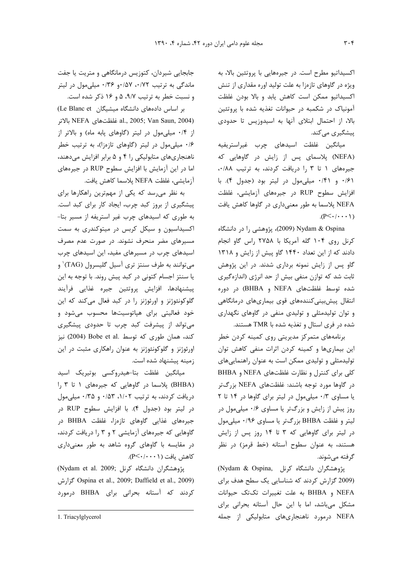اکسیداتیو مطرح است. در جیرههایی با پروتئین بالا، به ویژه در گاوهای تازهزا به علت تولید اوره مقداری از تنش اکسیداتیو ممکن است کاهش یابد و بالا بودن غلظت آمونیاک در شکمبه در حیوانات تغذیه شده با پروتئین بالا، از احتمال ابتلای آنها به اسیدوزیس تا حدودی پیشگیری می کند.

ميانگين غلظت اسيدهاى چرب غيراستريفيه (NEFA) پلاسمای پس از زایش در گاوهایی که جیرههای ١ تا ٣ را دریافت کردند، به ترتیب ٠/٨٨، ٠/۶١ و ٠/٤١ ميلي مول در ليتر بود (جدول ۴). با افزایش سطوح RUP در جیرههای آزمایشی، غلظت NEFA پلاسما به طور معنیداری در گاوها کاهش یافت  $(P<\cdot/\cdot\cdot\cdot)$ 

Nydam & Ospina (2009)، پژوهشی را در دانشگاه کرنل روی ۱۰۴ گله آمریکا با ۲۷۵۸ راس گاو انجام دادند که از این تعداد ۱۴۴۰ گاو پیش از زایش و ۱۳۱۸ گاو پس از زایش نمونه برداری شدند. در این پژوهش ثابت شد که توازن منفی بیش از حد انرژی (اندازهگیری شده توسط غلظتهای NEFA و BHBA) در دوره انتقال پیش بینی کنندههای قوی بیماریهای درمانگاهی و توان تولیدمثلی و تولیدی منفی در گاوهای نگهداری شده در فری استال و تغذیه شده با TMR هستند.

برنامههای متمرکز مدیریتی روی کمینه کردن خطر این بیماریها و کمینه کردن اثرات منفی کاهش توان تولیدمثلی و تولیدی ممکن است به عنوان راهنمایی های کلی برای کنترل و نظارت غلظتهای NEFA و BHBA در گاوها مورد توجه باشند: غلظتهای NEFA بزرگتر یا مساوی ۰/۳ میلی مول در لیتر برای گاوها در ۱۴ تا ۲ روز پیش از زایش و بزرگتر یا مساوی ۰/۶ میلی مول در لیتر و غلظت BHBA بزرگتر یا مساوی ۰/۹۶ میلی مول در لیتر برای گاوهایی که ۳ تا ۱۴ روز پس از زایش هستند، به عنوان سطوح آستانه (خط قرمز) در نظر گرفته مے شوند.

یژوهشگران دانشگاه کرنل , Nydam & Ospina) (2009 گزارش کردند که شناسایی یک سطح هدف برای NEFA و BHBA به علت تغییرات تکتک حیوانات مشكل مىباشد، اما با اين حال آستانه بحرانى براى NEFA درمورد ناهنجاریهای متابولیکی از جمله

جابجایی شیردان، کتوزیس درمانگاهی و متریت یا جفت ماندگی به ترتیب ۰/۵۲، ۰/۵۷، ۰/۳۶ میلی مول در لیتر و نسبت خطر به ترتیب ۹/۷، ۵ و ۱۶ ذکر شده است.

بر اساس دادههای دانشگاه میشیگان Le Blanc et) بالاتر NEFA فلظتهاى NEFA بالاتر al., 2005; Van Saun, 2004) از ۰/۴ میلی مول در لیتر (گاوهای پابه ماه) و بالاتر از ۰/۶ میلی مول در لیتر (گاوهای تازهزا)، به ترتیب خطر ناهنجاریهای متابولیکی را ۴ و ۵ برابر افزایش میدهند، اما در این آزمایش با افزایش سطوح RUP در جیرههای آزمايشي، غلظت NEFA يلاسما كاهش يافت.

به نظر میرسد که یکی از مهمترین راهکارها برای پیشگیری از بروز کبد چرب، ایجاد کار برای کبد است. به طوری که اسیدهای چرب غیر استریفه از مسیر بتا-اکسیداسیون و سیکل کربس در میتوکندری به سمت مسیرهای مضر منحرف نشوند. در صورت عدم مصرف اسیدهای چرب در مسیرهای مفید، این اسیدهای چرب مي توانند به طرف سنتز ترى آسيل گليسرول (TAG)` و يا سنتز اجسام كتوني در كبد پيش روند. با توجه به اين پیشنهادها، افزایش پروتئین جیره غذایی فرآیند گلوکونئوژنز و اورئوژنز را در کبد فعال میکند که این خود فعالیتی برای هپاتوسیتها محسوب میشود و می تواند از پیشرفت کبد چرب تا حدودی پیشگیری کند، همان طوری که توسط .Bobe et al (2004) نیز اورئوژنز و گلوکونئوژنز به عنوان راهکاری مثبت در این زمینه پیشنهاد شده است.

میانگین غلظت بتا-هیدروکسی بوتیریک اسید (BHBA) پلاسما در گاوهایی که جیرههای ۱ تا ۳ را دریافت کردند، به ترتیب ۱/۰۲، ۰/۵۳ و ۰/۳۵ میلی مول در ليتر بود (جدول ۴). با افزايش سطوح RUP در جیرههای غذایی گاوهای تازهزا، غلظت BHBA در گاوهایی که جیرههای آزمایشی ۲ و ۳ را دریافت کردند، در مقایسه با گاوهای گروه شاهد به طور معنیداری كاهش يافت (P ≺ ٠/٠٠١).

(Nydam et al. 2009; يژوهشگران دانشگاه كرنل) 2009; Daffield et al., 2009; Daffield et al., 2009) کردند که آستانه بحرانی برای BHBA درمورد

<sup>1.</sup> Triacylglycerol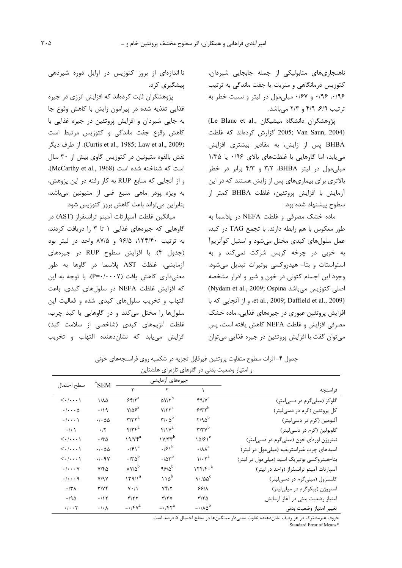ناهنجاریهای متابولیکی از جمله جابجایی شیردان، کتوزیس درمانگاهی و متریت یا جفت ماندگی به ترتیب ۰/۹۶ ۰/۹۶ و ۰/۶۷ میلی مول در لیتر و نسبت خطر به ترتیب ۶/۹، ۴/۹ و ۲/۳ میباشد.

(Le Blanc et al., پژوهشگران دانشگاه میشیگان) 2005; Van Saun, 2004) گزارش کردهاند که غلظت BHBA یس از زایش، به مقادیر بیشتری افزایش می یابد، اما گاوهایی با غلظتهای بالای ۰/۹۶ یا ۱/۳۵ میلی مول در لیتر BHBA، ۳/۲ و ۴/۳ برابر در خطر بالاتری برای بیماریهای پس از زایش هستند که در این آزمایش با افزایش پروتئین، غلظت BHBA کمتر از سطوح پیشنهاد شده بود.

ماده خشک مصرفی و غلظت NEFA در پلاسما به طور معکوس با هم رابطه دارند. با تجمع TAG در کبد، عمل سلولهای کبدی مختل میشود و استیل کوآنزیم آ به خوبی در چرخه کربس شرکت نمیکند و به استواستات و بتا- هیدروکسی بوتیرات تبدیل می شود. وجود این اجسام کتونی در خون و شیر و ادرار مشخصه (Nydam et al., 2009; Ospina اصلی کتوزیس میباشد et al., 2009; Daffield et al., 2009). و از آنجایی که با افزایش پروتئین عبوری در جیرههای غذایی، ماده خشک مصرفی افزایش و غلظت NEFA کاهش یافته است، پس میتوان گفت با افزایش پروتئین در جیره غذایی میتوان

تا اندازهای از بروز کتوزیس در اوایل دوره شیردهی پیشگیری کرد.

پژوهشگران ثابت کردهاند که افزایش انرژی در جیره غذایی تغذیه شده در پیرامون زایش با کاهش وقوع جا به جایی شیردان و افزایش پروتئین در جیره غذایی با كاهش وقوع جفت ماندگى و كتوزيس مرتبط است (Curtis et al., 1985; Law et al., 2009). از طرف دیگر نقش بالقوه متيونين در كتوزيس گاوي بيش از ٣٠ سال است که شناخته شده است (McCarthy et al., 1968)، و از آنجایی که منابع RUP به کار رفته در این پژوهش، به ویژه پودر ماهی منبع غنی از متیونین میباشد، بنابراین می تواند باعث کاهش بروز کتوزیس شود.

ميانگين غلظت آسپارتات آمينو ترانسفراز (AST) در گاوهایی که جیرههای غذایی ۱ تا ۳ را دریافت کردند، به ترتیب ۱۲۴/۴۰، ۹۶/۵ و ۸۷/۵ واحد در لیتر بود (جدول ۴). با افزایش سطوح RUP در جیرههای آزمایشی، غلظت AST پلاسما در گاوها به طور معنیداری کاهش یافت (P=۰/۰۰۰۷). با توجه به این که افزایش غلظت NEFA در سلولهای کبدی، باعث التهاب وتخريب سلول هاى كبدى شده وفعاليت اين سلولها را مختل میکند و در گاوهایی با کبد چرب، غلظت آنزیمهای کبدی (شاخصی از سلامت کبد) افزايش مي يابد كه نشان دهنده التهاب و تخريب

| و امتیاز وضعیت بدنی در گاوهای تازهزای هلشتاین                                                         |                                                                |                                           |                                            |                                                |                                             |
|-------------------------------------------------------------------------------------------------------|----------------------------------------------------------------|-------------------------------------------|--------------------------------------------|------------------------------------------------|---------------------------------------------|
| سطح احتمال                                                                                            | $\mathrm{N}$ SEM                                               |                                           | جيرەهاي آزمايشى                            |                                                |                                             |
|                                                                                                       |                                                                | ٣                                         | $\mathsf{r}$                               | $\lambda$                                      | فراسنجه                                     |
| $<\!\!\boldsymbol{\cdot}/\!\!\boldsymbol{\cdot}\!\!\boldsymbol{\cdot}\!\!\cdot\!\!\boldsymbol{\cdot}$ | $1/\lambda \Delta$                                             | $55/10^a$                                 | $\Delta V/Y^b$                             | $f \cdot \gamma / \gamma^c$                    | گلوکز (میلیگرم در دسی لیتر)                 |
| $\cdot/\cdot\cdot\Delta$                                                                              | $\cdot/\gamma$                                                 | $V/\Delta$ ۶ <sup>a</sup>                 | $Y/Y^a$                                    | $5/77^b$                                       | کل پروتئین (گرم در دسیلیتر)                 |
| $\cdot/\cdot\cdot\cdot$                                                                               | $\cdot$ / $\cdot$ $\Delta\Delta$                               | $\mathbf{r}/\mathbf{r}$                   | $\mathbf{r}/\cdot \mathbf{a}^{\mathrm{b}}$ | $Y/90^b$                                       | آلبومین (گرم در دسیلیتر)                    |
| $\cdot$ / $\cdot$ /                                                                                   | $\cdot/\tau$                                                   | $f/\tau f^a$                              | $f/\gamma^a$                               | $\mathbf{r}/\mathbf{r}\mathbf{v}^{\mathrm{b}}$ | گلوبولین (گرم در دسیلیتر)                   |
| $\langle \cdot   \cdots \rangle$                                                                      | $\cdot$ /۳۵                                                    | ۱۹/۷۴ $^{\rm a}$                          | $V/Tr^b$                                   | 10/51                                          | نیتروژن اورهای خون (میلیگرم در دسی لیتر)    |
| $\langle \cdot   \cdots \rangle$                                                                      | $\cdot$ / $\cdot$ $\Delta\Delta$                               | $\cdot$ /۴ $\gamma$ <sup>c</sup>          | $\cdot$ / $5\gamma^b$                      | $\cdot/\lambda\lambda^a$                       | اسیدهای چرب غیراستریفیه (میلیمول در لیتر)   |
| $\langle \cdot   \cdots \rangle$                                                                      | $\cdot$ / $\cdot$ 9 $\vee$                                     | $\cdot$ /٣۵ <sup>b</sup>                  | $\cdot$ /0 $r^{b}$                         | $1/\cdot \gamma^a$                             | بتا-هیدروکسی بوتیریک اسید (میلیمول در لیتر) |
| $\cdot/\cdot\cdot\cdot$ Y                                                                             | $Y/F\Delta$                                                    | $\lambda V/\Delta^b$                      | $95/0^b$                                   | $177/5.$ <sup>a</sup>                          | آسپارتات آمینو ترانسفراز (واحد در لیتر)     |
| $\cdot/\cdot\cdot\cdot$ 9                                                                             | V/Y                                                            | $\left  \frac{\gamma}{4} \right $         | $110^b$                                    | 9.100                                          | کلسترول (میلیگرم در دسی لیتر)               |
| $\boldsymbol{\cdot}$ /٣٨                                                                              | T/Yf                                                           | $\mathsf{Y}\boldsymbol{\cdot}/\mathsf{Y}$ | Yf/Y                                       | 55/1                                           | استروژن (پیکوگرم در میلیلیتر)               |
| .790                                                                                                  | .115                                                           | $\mathbf{r}/\mathbf{r}$                   | T/Y                                        | $T/T \Delta$                                   | امتیاز وضعیت بدنی در آغاز آزمایش            |
| $\cdot/\cdot\cdot\tau$                                                                                | $\boldsymbol{\cdot}\,/\boldsymbol{\cdot}\,\boldsymbol{\wedge}$ | $- \cdot / \mathfrak{f} \gamma^a$         | $- \cdot / \mathfrak{r} \mathfrak{r}^a$    | $-1.00$                                        | تغيير امتياز وضعيت بدني                     |

جدول ۴- اثرات سطوح متفاوت پروتئین غیرقابل تجزیه در شکمبه روی فراسنجههای خونی

حروف غیرمشترک در هر ردیف نشان دهنده تفاوت معنی دار میانگین ها در سطح احتمال ۵ درصد است Standard Error of Means\*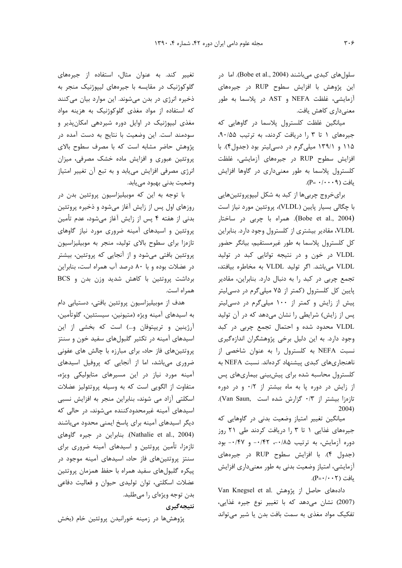سلولهای کبدی میباشند (Bobe et al., 2004). اما در این پژوهش با افزایش سطوح RUP در جیرههای آزمایشی، غلظت NEFA و AST در پلاسما به طور معنىدارى كاهش يافت.

میانگین غلظت کلسترول پلاسما در گاوهایی که جیرههای ١ تا ٣ را دریافت کردند، به ترتیب ٩٠/۵۵. ۱۱۵ و ۱۳۹/۱ میلیگرم در دسی لیتر بود (جدول۴). با افزایش سطوح RUP در جیرههای آزمایشی، غلظت کلسترول پلاسما به طور معنیداری در گاوها افزایش  $(P = \cdot / \cdot \cdot \cdot)$  يافت

برایخروج چربیها از کبد به شکل لیپوپروتئینهایی با چگالی بسیار پایین (VLDL)، پروتئین مورد نیاز است (Bobe et al., 2004). همراه با چربی در ساختار VLDL، مقادیر بیشتری از کلسترول وجود دارد. بنابراین كل كلسترول پلاسما به طور غيرمستقيم، بيانگر حضور VLDL در خون و در نتیجه توانایی کبد در تولید VLDL می باشد. اگر تولید VLDL به مخاطره بیافتد، تجمع چربی در کبد را به دنبال دارد. بنابراین، مقادیر پایین کل کلسترول (کمتر از ۷۵ میلیگرم در دسیلیتر پیش از زایش و کمتر از ۱۰۰ میلیگرم در دسی لیتر پس از زایش) شرایطی را نشان میدهد که در آن تولید VLDL محدود شده و احتمال تجمع چربی در کبد وجود دارد. به این دلیل برخی پژوهشگران اندازهگیری نسبت NEFA به کلسترول را به عنوان شاخصی از ناهنجاریهای کبدی پیشنهاد کردهاند. نسبت NEFA به كلسترول محاسبه شده براى پيشبينى بيمارىهاى پس از زایش در دوره پا به ماه بیشتر از ۰/۲ و در دوره تازهزا بيشتر از ٠/٣ كزارش شده است .Van Saun).  $2004)$ 

میانگین تغییر امتیاز وضعیت بدنی در گاوهایی که جیرههای غذایی ١ تا ٣ را دریافت کردند طی ٢١ روز دوره آزمایش، به ترتیب ۰/۴۵-، ۰/۴۲- و ۰/۴۷- بود (جدول ۴). با افزایش سطوح RUP در جیرههای آزمایشی، امتیاز وضعیت بدنی به طور معنیداری افزایش  $(P = \cdot / \cdot \cdot \tau)$  مافت

Van Knegsel et al. دادههای حاصل از پژوهش (2007) نشان می دهد که با تغییر نوع جیره غذایی، تفکیک مواد مغذی به سمت بافت بدن یا شیر میتواند

تغییر کند. به عنوان مثال، استفاده از جیرههای گلوکوژنیک در مقایسه با جیرههای لیپوژنیک منجر به ذخیره انرژی در بدن میشوند. این موارد بیان میکنند که استفاده از مواد مغذی گلوکوژنیک به هزینه مواد مغذی لیپوژنیک در اوایل دوره شیردهی امکانپذیر و سودمند است. این وضعیت با نتایج به دست آمده در پژوهش حاضر مشابه است که با مصرف سطوح بالای پروتئین عبوری و افزایش ماده خشک مصرفی، میزان انرژی مصرفی افزایش می یابد و به تبع آن تغییر امتیاز وضعیت بدنی بهبود می یابد.

با توجه به این که موبیلیزاسیون پروتئین بدن در روزهای اول پس از زایش آغاز میشود و ذخیره پروتئین بدنی از هفته ۴ پس از زایش آغاز میشود، عدم تأمین پروتئین و اسیدهای آمینه ضروری مورد نیاز گاوهای تازهزا برای سطوح بالای تولید، منجر به موبیلیزاسیون پروتئین بافتی میشود و از آنجایی که پروتئین، بیشتر در عضلات بوده و با ۸۰ درصد آب همراه است، بنابراین برداشت پروتئین با کاهش شدید وزن بدن و BCS همراه است.

هدف از موبیلیزاسیون پروتئین بافتی، دستیابی دام به اسيدهاي آمينه ويژه (متيونين، سيستئين، گلوتأمين، آرژینین و تریپتوفان و…) است که بخشی از این اسیدهای آمینه در تکثیر گلبولهای سفید خون و سنتز پروتئینهای فاز حاد، برای مبارزه با چالش های عفونی ضروری میباشد، اما از آنجایی که پروفیل اسیدهای آمینه مورد نیاز در این مسیرهای متابولیکی ویژه، متفاوت از الگویی است که به وسیله پروتئولیز عضلات اسکلتی آزاد می شوند، بنابراین منجر به افزایش نسبی اسیدهای آمینه غیرمحدودکننده میشوند، در حالی که دیگر اسیدهای آمینه برای پاسخ ایمنی محدود میباشند (Nathalie et al., 2004). بنابراین در جیره گاوهای تازهزا، تأمین پروتئین و اسیدهای آمینه ضروری برای سنتز پروتئینهای فاز حاد، اسیدهای آمینه موجود در پیکره گلبولهای سفید همراه با حفظ همزمان پروتئین عضلات اسکلتی، توان تولیدی حیوان و فعالیت دفاعی بدن توجه ویژهای را می طلبد.

نتىجەگىرى

پژوهشها در زمینه خورانیدن پروتئین خام (بخش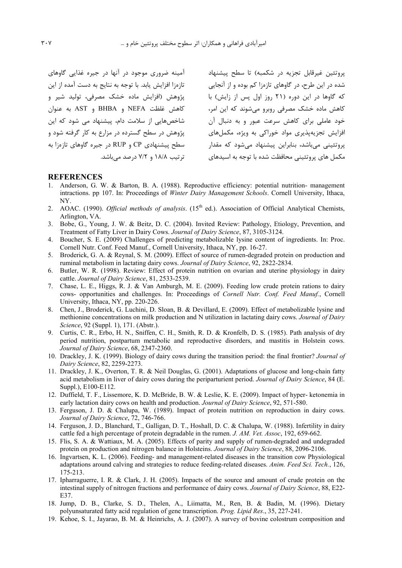آمینه ضروری موجود در آنها در جیره غذایی گاوهای تازهزا افزایش یابد. با توجه به نتایج به دست آمده از این یژوهش (افزایش ماده خشک مصرفی، تولید شیر و كاهش غلظت NEFA و BHBA و AST به عنوان شاخصهایی از سلامت دام، پیشنهاد می شود که این یژوهش در سطح گسترده در مزارع به کار گرفته شود و سطح پیشنهادی CP و RUP در جیره گاوهای تازهزا به تر تیب ۱۸/۸ و ۷/۲ درصد مے باشد.

یروتئین غیرقابل تجزیه در شکمبه) تا سطح پیشنهاد شده در این طرح، در گاوهای تازهزا کم بوده و از آنجایی که گاوها در این دوره (۲۱ روز اول پس از زایش) با کاهش ماده خشک مصرفی روبرو می شوند که این امر، خود عاملی برای کاهش سرعت عبور و به دنبال آن افزایش تجزیهپذیری مواد خوراکی به ویژه، مکمل های یروتئینی می باشد، بنابراین پیشنهاد می شود که مقدا<sub>د</sub> مکمل های پروتئینے محافظت شده با توجه به اسیدهای

#### **REFERENCES**

- 1. Anderson, G. W. & Barton, B. A. (1988). Reproductive efficiency: potential nutrition- management intractions. pp 107. In: Proceedings of Winter Dairy Management Schools. Cornell University, Ithaca, NY.
- 2. AOAC. (1990). Official methods of analysis. (15<sup>th</sup> ed.). Association of Official Analytical Chemists, Arlington, VA.
- 3. Bobe, G., Young, J. W. & Beitz, D. C. (2004). Invited Review: Pathology, Etiology, Prevention, and Treatment of Fatty Liver in Dairy Cows. Journal of Dairy Science, 87, 3105-3124.
- 4. Boucher, S. E. (2009) Challenges of predicting metabolizable lysine content of ingredients. In: Proc. Cornell Nutr. Conf. Feed Manuf., Cornell University, Ithaca, NY, pp. 16-27.
- 5. Broderick, G. A. & Reynal, S. M. (2009). Effect of source of rumen-degraded protein on production and ruminal metabolism in lactating dairy cows. Journal of Dairy Science, 92, 2822-2834.
- 6. Butler, W. R. (1998). Review: Effect of protein nutrition on ovarian and uterine physiology in dairy cattle. Journal of Dairy Science, 81, 2533-2539.
- 7. Chase, L. E., Higgs, R. J. & Van Amburgh, M. E. (2009). Feeding low crude protein rations to dairy cows- opportunities and challenges. In: Proceedings of Cornell Nutr. Conf. Feed Manuf., Cornell University, Ithaca, NY, pp. 220-226.
- 8. Chen, J., Broderick, G. Luchini, D. Sloan, B. & Devillard, E. (2009). Effect of metabolizable lysine and methionine concentrations on milk production and N utilization in lactating dairy cows. Journal of Dairy Science, 92 (Suppl. 1), 171. (Abstr.).
- 9. Curtis, C. R., Erbo, H. N., Sniffen, C. H., Smith, R. D. & Kronfelb, D. S. (1985). Path analysis of dry period nutrition, postpartum metabolic and reproductive disorders, and mastitis in Holstein cows. Journal of Dairy Science, 68, 2347-2360.
- 10. Drackley, J. K. (1999). Biology of dairy cows during the transition period: the final frontier? Journal of Dairy Science, 82, 2259-2273.
- 11. Drackley, J. K., Overton, T. R. & Neil Douglas, G. (2001). Adaptations of glucose and long-chain fatty acid metabolism in liver of dairy cows during the periparturient period. Journal of Dairy Science, 84 (E. Suppl.), E100-E112.
- 12. Duffield, T. F., Lissemore, K. D. McBride, B. W. & Leslie, K. E. (2009). Impact of hyper-ketonemia in early lactation dairy cows on health and production. Journal of Dairy Science, 92, 571-580.
- 13. Ferguson, J. D. & Chalupa, W. (1989). Impact of protein nutrition on reproduction in dairy cows. Journal of Dairy Science, 72, 746-766.
- 14. Ferguson, J. D., Blanchard, T., Galligan, D. T., Hoshall, D. C. & Chalupa, W. (1988). Infertility in dairy cattle fed a high percentage of protein degradable in the rumen. J. AM. Vet. Assoc. 192, 659-662.
- 15. Flis, S. A. & Wattiaux, M. A. (2005). Effects of parity and supply of rumen-degraded and undegraded protein on production and nitrogen balance in Holsteins. Journal of Dairy Science, 88, 2096-2106.
- 16. Ingvartsen, K. L. (2006). Feeding- and management-related diseases in the transition cow Physiological adaptations around calving and strategies to reduce feeding-related diseases. Anim. Feed Sci. Tech., 126, 175-213.
- 17. Ipharraguerre, I. R. & Clark, J. H. (2005). Impacts of the source and amount of crude protein on the intestinal supply of nitrogen fractions and performance of dairy cows. Journal of Dairy Science, 88, E22-E37
- 18. Jump, D. B., Clarke, S. D., Thelen, A., Liimatta, M., Ren, B. & Badin, M. (1996). Dietary polyunsaturated fatty acid regulation of gene transcription. *Prog. Lipid Res.*, 35, 227-241.
- 19. Kehoe, S. I., Jayarao, B. M. & Heinrichs, A. J. (2007). A survey of bovine colostrum composition and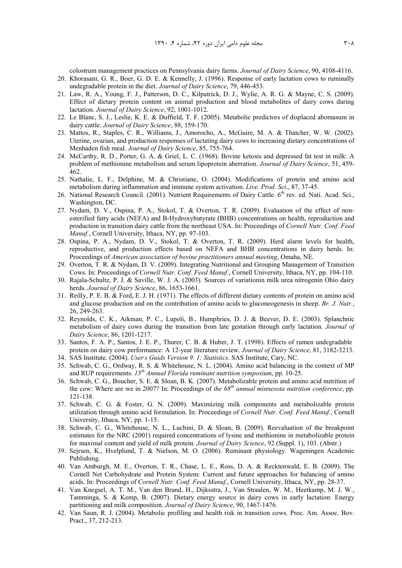colostrum management practices on Pennsylvania dairy farms. *Journal of Dairy Science*, 90, 4108-4116. 20. Khorasani, G. R., Boer, G. D. E. & Kennelly, J. (1996). Response of early lactation cows to ruminally

- undegradable protein in the diet. *Journal of Dairy Science*, 79, 446-453.
- 21. Law, R. A., Young, F. J., Patterson, D. C., Kilpatrick, D. J., Wylie, A. R. G. & Mayne, C. S. (2009). Effect of dietary protein content on animal production and blood metabolites of dairy cows during lactation. *Journal of Dairy Science*, 92, 1001-1012.
- 22. Le Blanc, S. J., Leslie, K. E. & Duffield, T. F. (2005). Metabolic predictors of displaced abomasum in dairy cattle. *Journal of Dairy Science*, 88, 159-170.
- 23. Mattos, R., Staples, C. R., Williams, J., Amorocho, A., McGuire, M. A. & Thatcher, W. W. (2002). Uterine, ovarian, and production responses of lactating dairy cows to increasing dietary concentrations of Menhaden fish meal. *Journal of Dairy Science*, 85, 755-764.
- 24. McCarthy, R. D., Porter, G. A. & Griel, L. C. (1968). Bovine ketosis and depressed fat test in milk: A problem of methionine metabolism and serum lipoprotein aberration. *Journal of Dairy Science*, 51, 459- 462.
- 25. Nathalie, L. F., Delphine, M. & Christiane, O. (2004). Modifications of protein and amino acid metabolism during inflammation and immune system activation. *Live. Prod. Sci*., 87, 37-45.
- 26. National Research Council. (2001). Nutrient Requirements of Dairy Cattle. 6<sup>th</sup> rev. ed. Nati. Acad. Sci., Washington, DC.
- 27. Nydam, D. V., Ospina, P. A., Stokol, T. & Overton, T. R. (2009). Evaluation of the effect of nonesterified fatty acids (NEFA) and S-Hydroxybutyrate (BHB) concentrations on health, reproduction and production in transition dairy cattle from the northeast USA. In: Proceedings of *Cornell Nutr. Conf. Feed Manuf.*, Cornell University, Ithaca, NY, pp. 97-103.
- 28. Ospina, P. A., Nydam, D. V., Stokol, T. & Overton, T. R. (2009). Herd alarm levels for health, reproductive, and production effects based on NEFA and BHB concentrations in dairy herds. In: Proceedings of *American association of bovine practitioners annual meeting*, Omaha, NE.
- 29. Overton, T. R. & Nydam, D. V. (2009). Integrating Nutritional and Grouping Management of Transition Cows. In: Proceedings of *Cornell Nutr. Conf. Feed Manuf.*, Cornell University, Ithaca, NY, pp. 104-110.
- 30. Rajala-Schultz, P. J. & Saville, W. J. A. (2003). Sources of variationin milk urea nitrogenin Ohio dairy herds. *Journal of Dairy Science*, 86, 1653-1661.
- 31. Reilly, P. E. B. & Ford, E. J. H. (1971). The effects of different dietary contents of protein on amino acid and glucose production and on the contribution of amino acids to gluconeogenesis in sheep. *Br. J. Nutr.*, 26, 249-263.
- 32. Reynolds, C. K., Aikman, P. C., Lupoli, B., Humphries, D. J. & Beever, D. E. (2003). Splanchnic metabolism of dairy cows during the transition from late gestation through early lactation. *Journal of Dairy Science*, 86, 1201-1217.
- 33. Santos, F. A. P., Santos, J. E. P., Thurer, C. B. & Huber, J. T. (1998). Effects of rumen undegradable protein on dairy cow performance: A 12-year literature review. *Journal of Dairy Science*, 81, 3182-3213.
- 34. SAS Institute. (2004). *User, s Guids Version 9. 1: Statistics*. SAS Institute, Cary, NC.
- 35. Schwab, C. G., Ordway, R. S. & Whitehouse, N. L. (2004). Amino acid balancing in the context of MP and RUP requirements. *15th Annual Florida ruminant nutrition symposium*, pp. 10-25.
- 36. Schwab, C. G., Boucher, S. E. & Sloan, B. K. (2007). Metabolizable protein and amino acid nutrition of the cow: Where are we in 2007? In: Proceedings of *the 68th annual minnesota nutrition conference*, pp. 121-138.
- 37. Schwab, C. G. & Foster, G. N. (2009). Maximizing milk components and metabolizable protein utilization through amino acid formulation. In: Proceedings of *Cornell Nutr. Conf. Feed Manuf.*, Cornell University, Ithaca, NY, pp. 1-15.
- 38. Schwab, C. G., Whitehouse, N. L., Luchini, D. & Sloan, B. (2009). Reevaluation of the breakpoint estimates for the NRC (2001) required concentrations of lysine and methionine in metabolizable protein for maximal content and yield of milk protein. *Journal of Dairy Science*, 92 (Suppl. 1), 103. (Abstr.)
- 39. Sejrsen, K., Hvelplund, T. & Nielson, M. O. (2006). Ruminant physiology. Wageningen Academic Publishing.
- 40. Van Amburgh, M. E., Overton, T. R., Chase, L. E., Ross, D. A. & Recktenwald, E. B. (2009). The Cornell Net Carbohydrate and Protein System: Current and future approaches for balancing of amino acids. In: Proceedings of *Cornell Nutr. Conf. Feed Manuf.*, Cornell University, Ithaca, NY, pp. 28-37.
- 41. Van Knegsel, A. T. M., Van den Brand, H., Dijksstra, J., Van Straalen, W. M., Heetkamp, M. J. W., Tamminga, S. & Kemp, B. (2007). Dietary energy source in dairy cows in early lactation: Energy partitioning and milk composition. *Journal of Dairy Science*, 90, 1467-1476.
- 42. Van Saun, R. J. (2004). Metabolic profiling and health risk in transition cows. Proc. Am. Assoc. Bov. Pract., 37, 212-213.